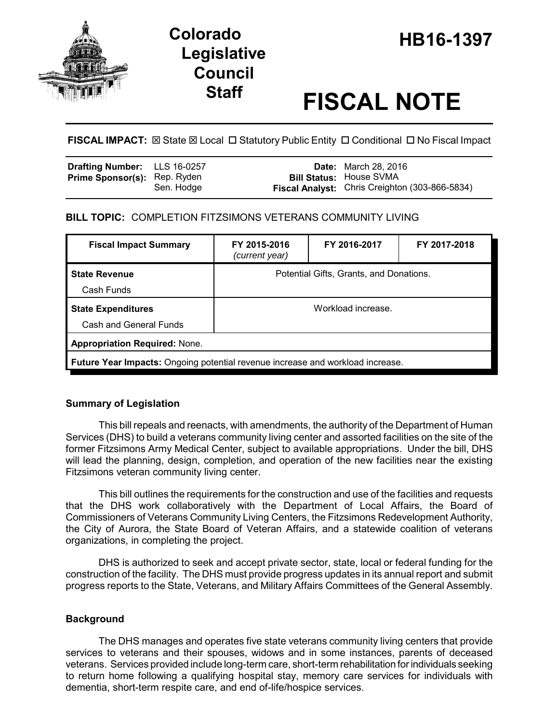

# **Legislative Council**

# **Staff FISCAL NOTE**

**FISCAL IMPACT:** ⊠ State ⊠ Local □ Statutory Public Entity □ Conditional □ No Fiscal Impact

| <b>Drafting Number:</b> LLS 16-0257 |            | <b>Date:</b> March 28, 2016                                                             |
|-------------------------------------|------------|-----------------------------------------------------------------------------------------|
| <b>Prime Sponsor(s): Rep. Ryden</b> | Sen. Hodge | <b>Bill Status: House SVMA</b><br><b>Fiscal Analyst:</b> Chris Creighton (303-866-5834) |

# **BILL TOPIC:** COMPLETION FITZSIMONS VETERANS COMMUNITY LIVING

| <b>Fiscal Impact Summary</b>                                                          | FY 2015-2016<br>(current year)          | FY 2016-2017 | FY 2017-2018 |  |  |
|---------------------------------------------------------------------------------------|-----------------------------------------|--------------|--------------|--|--|
| <b>State Revenue</b><br>Cash Funds                                                    | Potential Gifts, Grants, and Donations. |              |              |  |  |
| <b>State Expenditures</b><br>Cash and General Funds                                   | Workload increase.                      |              |              |  |  |
| <b>Appropriation Required: None.</b>                                                  |                                         |              |              |  |  |
| <b>Future Year Impacts:</b> Ongoing potential revenue increase and workload increase. |                                         |              |              |  |  |

# **Summary of Legislation**

This bill repeals and reenacts, with amendments, the authority of the Department of Human Services (DHS) to build a veterans community living center and assorted facilities on the site of the former Fitzsimons Army Medical Center, subject to available appropriations. Under the bill, DHS will lead the planning, design, completion, and operation of the new facilities near the existing Fitzsimons veteran community living center.

This bill outlines the requirements for the construction and use of the facilities and requests that the DHS work collaboratively with the Department of Local Affairs, the Board of Commissioners of Veterans Community Living Centers, the Fitzsimons Redevelopment Authority, the City of Aurora, the State Board of Veteran Affairs, and a statewide coalition of veterans organizations, in completing the project.

DHS is authorized to seek and accept private sector, state, local or federal funding for the construction of the facility. The DHS must provide progress updates in its annual report and submit progress reports to the State, Veterans, and Military Affairs Committees of the General Assembly.

# **Background**

The DHS manages and operates five state veterans community living centers that provide services to veterans and their spouses, widows and in some instances, parents of deceased veterans. Services provided include long-term care, short-term rehabilitation for individuals seeking to return home following a qualifying hospital stay, memory care services for individuals with dementia, short-term respite care, and end of-life/hospice services.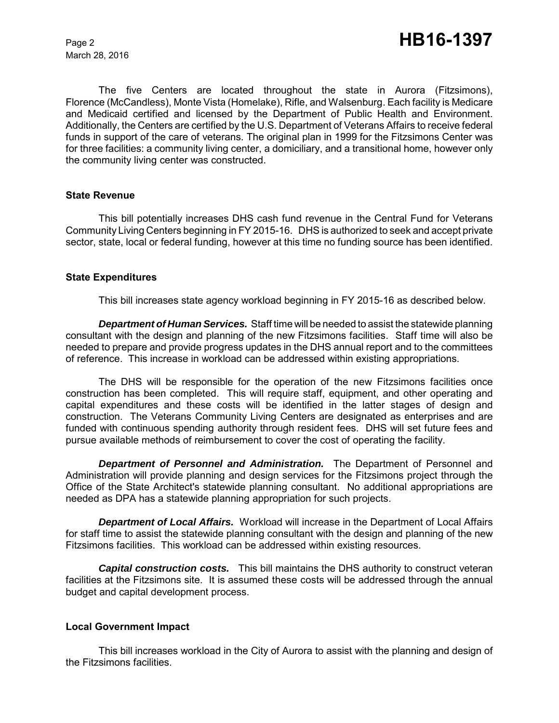March 28, 2016

The five Centers are located throughout the state in Aurora (Fitzsimons), Florence (McCandless), Monte Vista (Homelake), Rifle, and Walsenburg. Each facility is Medicare and Medicaid certified and licensed by the Department of Public Health and Environment. Additionally, the Centers are certified by the U.S. Department of Veterans Affairs to receive federal funds in support of the care of veterans. The original plan in 1999 for the Fitzsimons Center was for three facilities: a community living center, a domiciliary, and a transitional home, however only the community living center was constructed.

#### **State Revenue**

This bill potentially increases DHS cash fund revenue in the Central Fund for Veterans Community Living Centers beginning in FY 2015-16. DHS is authorized to seek and accept private sector, state, local or federal funding, however at this time no funding source has been identified.

#### **State Expenditures**

This bill increases state agency workload beginning in FY 2015-16 as described below.

*Department of Human Services.* Staff time will be needed to assist the statewide planning consultant with the design and planning of the new Fitzsimons facilities. Staff time will also be needed to prepare and provide progress updates in the DHS annual report and to the committees of reference. This increase in workload can be addressed within existing appropriations.

The DHS will be responsible for the operation of the new Fitzsimons facilities once construction has been completed. This will require staff, equipment, and other operating and capital expenditures and these costs will be identified in the latter stages of design and construction. The Veterans Community Living Centers are designated as enterprises and are funded with continuous spending authority through resident fees. DHS will set future fees and pursue available methods of reimbursement to cover the cost of operating the facility.

*Department of Personnel and Administration.* The Department of Personnel and Administration will provide planning and design services for the Fitzsimons project through the Office of the State Architect's statewide planning consultant. No additional appropriations are needed as DPA has a statewide planning appropriation for such projects.

*Department of Local Affairs.* Workload will increase in the Department of Local Affairs for staff time to assist the statewide planning consultant with the design and planning of the new Fitzsimons facilities. This workload can be addressed within existing resources.

*Capital construction costs.* This bill maintains the DHS authority to construct veteran facilities at the Fitzsimons site. It is assumed these costs will be addressed through the annual budget and capital development process.

#### **Local Government Impact**

This bill increases workload in the City of Aurora to assist with the planning and design of the Fitzsimons facilities.